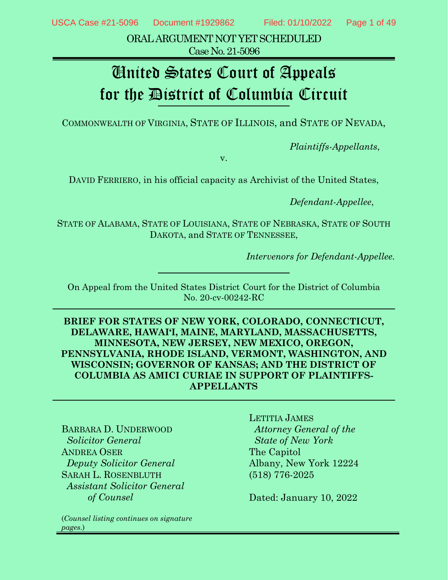ORAL ARGUMENT NOT YET SCHEDULED Case No. 21-5096

# United States Court of Appeals for the District of Columbia Circuit

COMMONWEALTH OF VIRGINIA, STATE OF ILLINOIS, and STATE OF NEVADA,

*Plaintiffs-Appellants*,

v.

DAVID FERRIERO, in his official capacity as Archivist of the United States,

*Defendant-Appellee*,

STATE OF ALABAMA, STATE OF LOUISIANA, STATE OF NEBRASKA, STATE OF SOUTH DAKOTA, and STATE OF TENNESSEE,

*Intervenors for Defendant-Appellee.*

On Appeal from the United States District Court for the District of Columbia No. 20-cv-00242-RC

**BRIEF FOR STATES OF NEW YORK, COLORADO, CONNECTICUT, DELAWARE, HAWAI'I, MAINE, MARYLAND, MASSACHUSETTS, MINNESOTA, NEW JERSEY, NEW MEXICO, OREGON, PENNSYLVANIA, RHODE ISLAND, VERMONT, WASHINGTON, AND WISCONSIN; GOVERNOR OF KANSAS; AND THE DISTRICT OF COLUMBIA AS AMICI CURIAE IN SUPPORT OF PLAINTIFFS-APPELLANTS**

BARBARA D. UNDERWOOD  *Solicitor General* ANDREA OSER *Deputy Solicitor General* SARAH L. ROSENBLUTH *Assistant Solicitor General of Counsel*

(*Counsel listing continues on signature pages*.)

LETITIA JAMES *Attorney General of the State of New York* The Capitol Albany, New York 12224 (518) 776-2025

Dated: January 10, 2022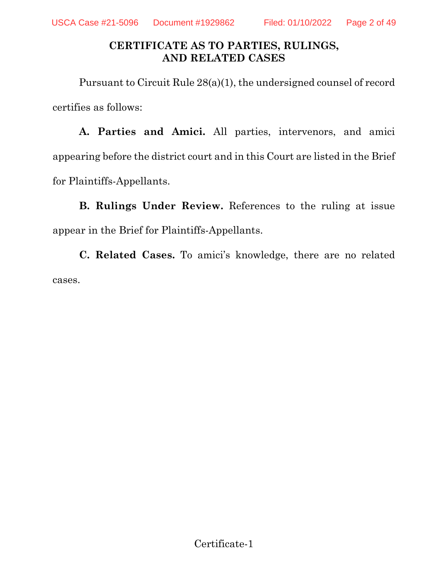### **CERTIFICATE AS TO PARTIES, RULINGS, AND RELATED CASES**

Pursuant to Circuit Rule 28(a)(1), the undersigned counsel of record certifies as follows:

**A. Parties and Amici.** All parties, intervenors, and amici appearing before the district court and in this Court are listed in the Brief for Plaintiffs-Appellants.

**B. Rulings Under Review.** References to the ruling at issue appear in the Brief for Plaintiffs-Appellants.

**C. Related Cases.** To amici's knowledge, there are no related cases.

Certificate-1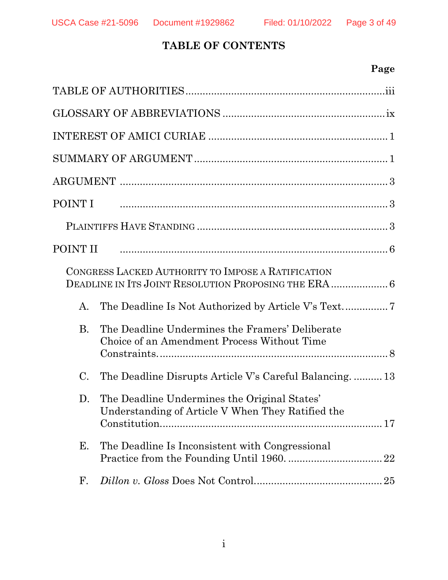### **TABLE OF CONTENTS**

### **Page**

| POINT I        |                                                                                                                                                                                                                                |
|----------------|--------------------------------------------------------------------------------------------------------------------------------------------------------------------------------------------------------------------------------|
|                |                                                                                                                                                                                                                                |
|                | POINT II and according the contract of the contract of the contract of the contract of the contract of the contract of the contract of the contract of the contract of the contract of the contract of the contract of the con |
|                | CONGRESS LACKED AUTHORITY TO IMPOSE A RATIFICATION                                                                                                                                                                             |
| A.             |                                                                                                                                                                                                                                |
| <b>B.</b>      | The Deadline Undermines the Framers' Deliberate<br>Choice of an Amendment Process Without Time                                                                                                                                 |
| $\mathbf{C}$ . | The Deadline Disrupts Article V's Careful Balancing 13                                                                                                                                                                         |
| D.             | The Deadline Undermines the Original States'<br>Understanding of Article V When They Ratified the                                                                                                                              |
| Е.             | The Deadline Is Inconsistent with Congressional                                                                                                                                                                                |
| $\mathbf{F}$ . |                                                                                                                                                                                                                                |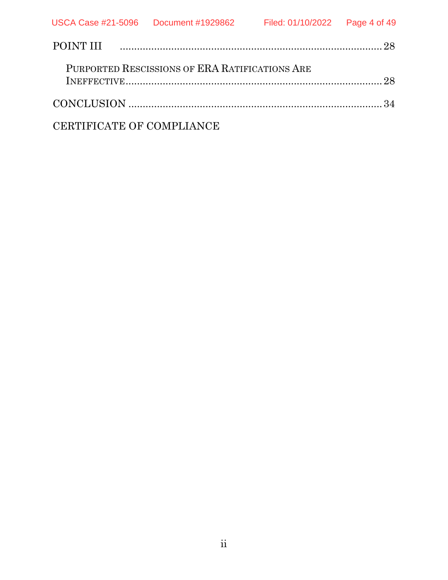| POINT III music music music contract the contract of the contract of the contract of the contract of the contract of the contract of the contract of the contract of the contract of the contract of the contract of the contr |  |
|--------------------------------------------------------------------------------------------------------------------------------------------------------------------------------------------------------------------------------|--|
| PURPORTED RESCISSIONS OF ERA RATIFICATIONS ARE                                                                                                                                                                                 |  |
|                                                                                                                                                                                                                                |  |
| CERTIFICATE OF COMPLIANCE                                                                                                                                                                                                      |  |

ii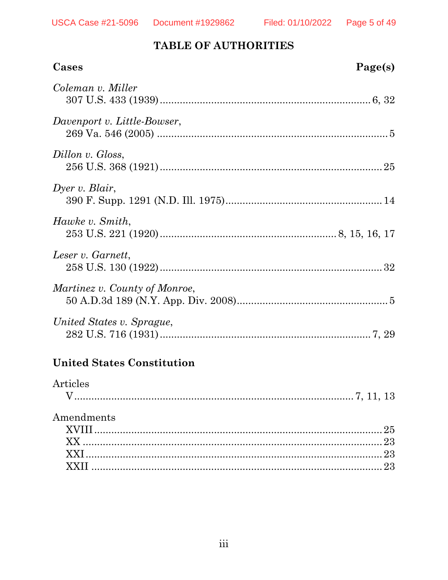### TABLE OF AUTHORITIES

| Cases                         | Page(s) |
|-------------------------------|---------|
| Coleman v. Miller             |         |
| Davenport v. Little-Bowser,   |         |
| Dillon v. Gloss,              |         |
| Dyer v. Blair,                |         |
| Hawke v. Smith,               |         |
| Leser v. Garnett,             |         |
| Martinez v. County of Monroe, |         |
| United States v. Sprague,     |         |

### **United States Constitution**

| Articles   |  |
|------------|--|
| Amendments |  |
|            |  |
|            |  |
|            |  |
|            |  |
|            |  |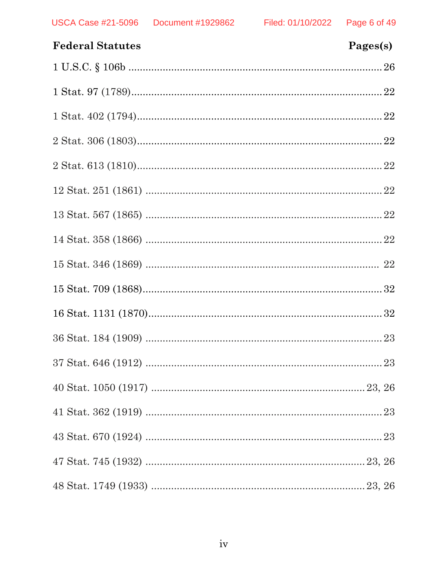| <b>Federal Statutes</b> | Pages(s) |
|-------------------------|----------|
|                         |          |
|                         |          |
|                         |          |
|                         |          |
|                         |          |
|                         |          |
|                         |          |
|                         |          |
|                         |          |
|                         |          |
|                         |          |
|                         |          |
|                         |          |
|                         |          |
|                         |          |
|                         |          |
|                         |          |
|                         |          |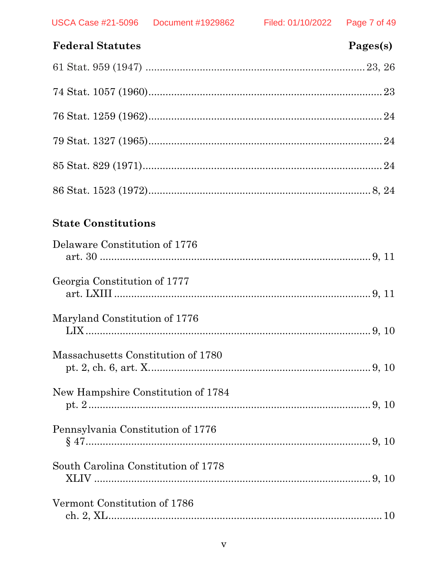| <b>Federal Statutes</b> | Pages(s) |
|-------------------------|----------|
|                         |          |
|                         |          |
|                         |          |
|                         |          |
|                         |          |
|                         |          |

### **State Constitutions**

| Delaware Constitution of 1776       |  |
|-------------------------------------|--|
| Georgia Constitution of 1777        |  |
| Maryland Constitution of 1776       |  |
| Massachusetts Constitution of 1780  |  |
| New Hampshire Constitution of 1784  |  |
| Pennsylvania Constitution of 1776   |  |
| South Carolina Constitution of 1778 |  |
| Vermont Constitution of 1786        |  |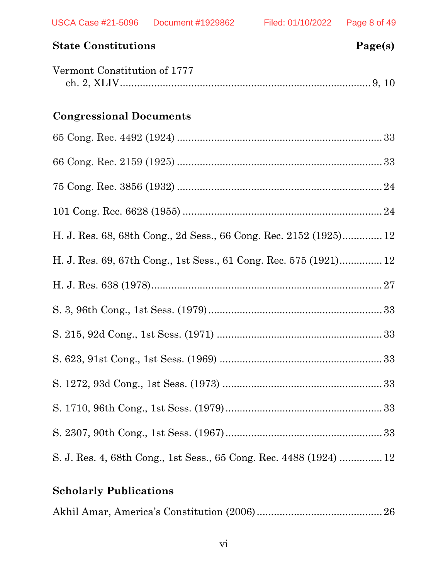| <b>State Constitutions</b>                                         | Page(s) |
|--------------------------------------------------------------------|---------|
| Vermont Constitution of 1777                                       |         |
| <b>Congressional Documents</b>                                     |         |
|                                                                    |         |
|                                                                    |         |
|                                                                    |         |
|                                                                    |         |
| H. J. Res. 68, 68th Cong., 2d Sess., 66 Cong. Rec. 2152 (1925) 12  |         |
| H. J. Res. 69, 67th Cong., 1st Sess., 61 Cong. Rec. 575 (1921) 12  |         |
|                                                                    |         |
|                                                                    |         |
|                                                                    |         |
|                                                                    |         |
|                                                                    |         |
|                                                                    |         |
|                                                                    |         |
| S. J. Res. 4, 68th Cong., 1st Sess., 65 Cong. Rec. 4488 (1924)  12 |         |

## **Scholarly Publications**

|--|--|--|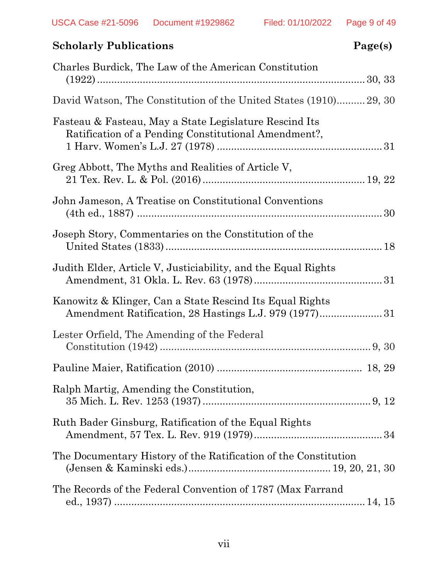| <b>Scholarly Publications</b>                                                                                      | Page(s) |
|--------------------------------------------------------------------------------------------------------------------|---------|
| Charles Burdick, The Law of the American Constitution                                                              |         |
| David Watson, The Constitution of the United States (1910) 29, 30                                                  |         |
| Fasteau & Fasteau, May a State Legislature Rescind Its<br>Ratification of a Pending Constitutional Amendment?,     |         |
| Greg Abbott, The Myths and Realities of Article V,                                                                 |         |
| John Jameson, A Treatise on Constitutional Conventions                                                             |         |
| Joseph Story, Commentaries on the Constitution of the                                                              |         |
| Judith Elder, Article V, Justiciability, and the Equal Rights                                                      |         |
| Kanowitz & Klinger, Can a State Rescind Its Equal Rights<br>Amendment Ratification, 28 Hastings L.J. 979 (1977) 31 |         |
| Lester Orfield, The Amending of the Federal                                                                        |         |
|                                                                                                                    |         |
| Ralph Martig, Amending the Constitution,                                                                           |         |
| Ruth Bader Ginsburg, Ratification of the Equal Rights                                                              |         |
| The Documentary History of the Ratification of the Constitution                                                    |         |
| The Records of the Federal Convention of 1787 (Max Farrand                                                         |         |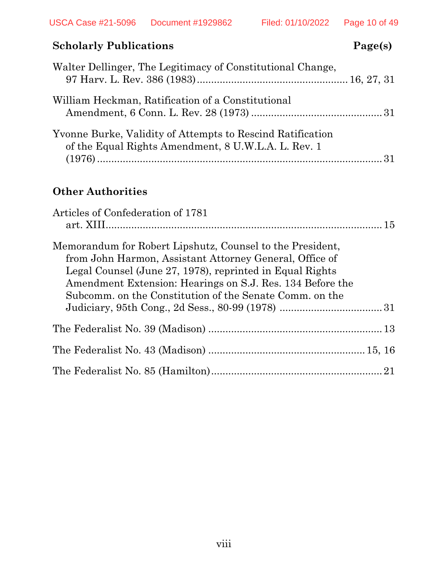### **Scholarly Publications** Page(s)

| Walter Dellinger, The Legitimacy of Constitutional Change,                                                        |  |
|-------------------------------------------------------------------------------------------------------------------|--|
| William Heckman, Ratification of a Constitutional                                                                 |  |
| Yvonne Burke, Validity of Attempts to Rescind Ratification<br>of the Equal Rights Amendment, 8 U.W.L.A. L. Rev. 1 |  |

### **Other Authorities**

| Articles of Confederation of 1781                                                                                                                                                                                                                                                                        |  |
|----------------------------------------------------------------------------------------------------------------------------------------------------------------------------------------------------------------------------------------------------------------------------------------------------------|--|
| Memorandum for Robert Lipshutz, Counsel to the President,<br>from John Harmon, Assistant Attorney General, Office of<br>Legal Counsel (June 27, 1978), reprinted in Equal Rights<br>Amendment Extension: Hearings on S.J. Res. 134 Before the<br>Subcomm, on the Constitution of the Senate Comm, on the |  |
|                                                                                                                                                                                                                                                                                                          |  |
|                                                                                                                                                                                                                                                                                                          |  |
|                                                                                                                                                                                                                                                                                                          |  |
|                                                                                                                                                                                                                                                                                                          |  |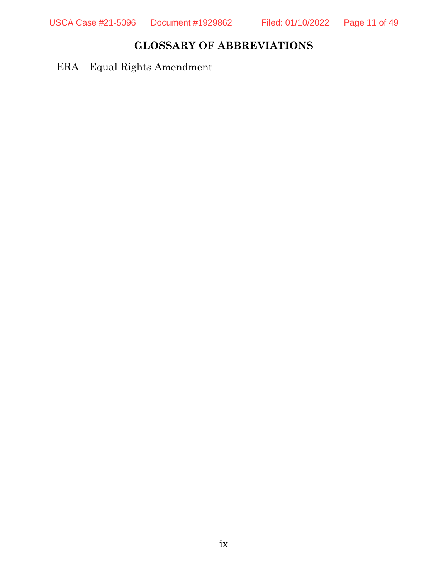### **GLOSSARY OF ABBREVIATIONS**

ERA Equal Rights Amendment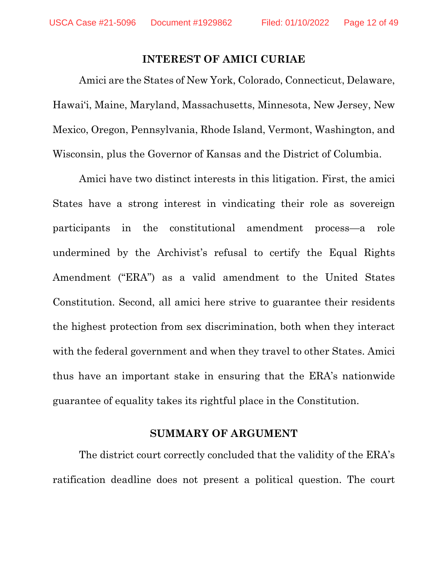#### **INTEREST OF AMICI CURIAE**

Amici are the States of New York, Colorado, Connecticut, Delaware, Hawai'i, Maine, Maryland, Massachusetts, Minnesota, New Jersey, New Mexico, Oregon, Pennsylvania, Rhode Island, Vermont, Washington, and Wisconsin, plus the Governor of Kansas and the District of Columbia.

Amici have two distinct interests in this litigation. First, the amici States have a strong interest in vindicating their role as sovereign participants in the constitutional amendment process—a role undermined by the Archivist's refusal to certify the Equal Rights Amendment ("ERA") as a valid amendment to the United States Constitution. Second, all amici here strive to guarantee their residents the highest protection from sex discrimination, both when they interact with the federal government and when they travel to other States. Amici thus have an important stake in ensuring that the ERA's nationwide guarantee of equality takes its rightful place in the Constitution.

#### **SUMMARY OF ARGUMENT**

The district court correctly concluded that the validity of the ERA's ratification deadline does not present a political question. The court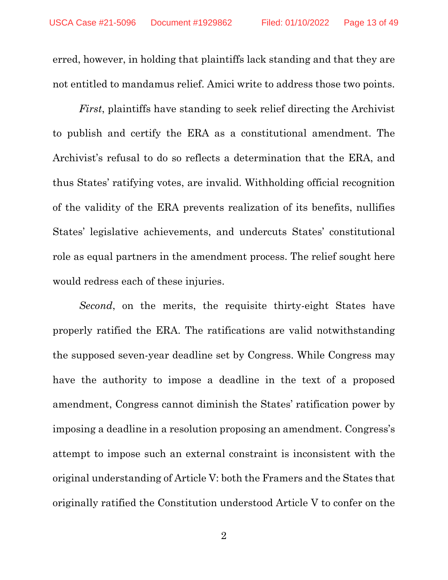erred, however, in holding that plaintiffs lack standing and that they are not entitled to mandamus relief. Amici write to address those two points.

*First*, plaintiffs have standing to seek relief directing the Archivist to publish and certify the ERA as a constitutional amendment. The Archivist's refusal to do so reflects a determination that the ERA, and thus States' ratifying votes, are invalid. Withholding official recognition of the validity of the ERA prevents realization of its benefits, nullifies States' legislative achievements, and undercuts States' constitutional role as equal partners in the amendment process. The relief sought here would redress each of these injuries.

*Second*, on the merits, the requisite thirty-eight States have properly ratified the ERA. The ratifications are valid notwithstanding the supposed seven-year deadline set by Congress. While Congress may have the authority to impose a deadline in the text of a proposed amendment, Congress cannot diminish the States' ratification power by imposing a deadline in a resolution proposing an amendment. Congress's attempt to impose such an external constraint is inconsistent with the original understanding of Article V: both the Framers and the States that originally ratified the Constitution understood Article V to confer on the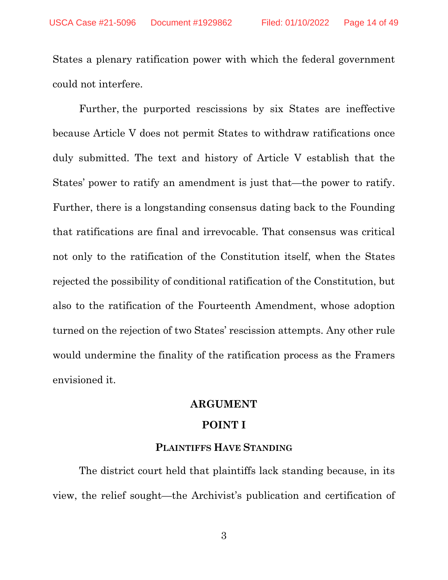States a plenary ratification power with which the federal government could not interfere.

Further, the purported rescissions by six States are ineffective because Article V does not permit States to withdraw ratifications once duly submitted. The text and history of Article V establish that the States' power to ratify an amendment is just that—the power to ratify. Further, there is a longstanding consensus dating back to the Founding that ratifications are final and irrevocable. That consensus was critical not only to the ratification of the Constitution itself, when the States rejected the possibility of conditional ratification of the Constitution, but also to the ratification of the Fourteenth Amendment, whose adoption turned on the rejection of two States' rescission attempts. Any other rule would undermine the finality of the ratification process as the Framers envisioned it.

#### **ARGUMENT**

#### **POINT I**

#### **PLAINTIFFS HAVE STANDING**

The district court held that plaintiffs lack standing because, in its view, the relief sought—the Archivist's publication and certification of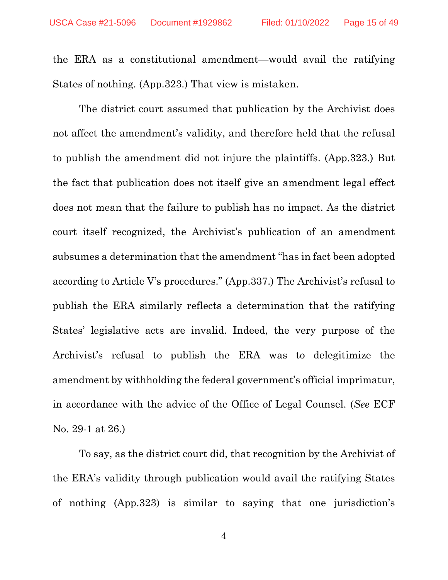the ERA as a constitutional amendment—would avail the ratifying States of nothing. (App.323.) That view is mistaken.

The district court assumed that publication by the Archivist does not affect the amendment's validity, and therefore held that the refusal to publish the amendment did not injure the plaintiffs. (App.323.) But the fact that publication does not itself give an amendment legal effect does not mean that the failure to publish has no impact. As the district court itself recognized, the Archivist's publication of an amendment subsumes a determination that the amendment "has in fact been adopted according to Article V's procedures." (App.337.) The Archivist's refusal to publish the ERA similarly reflects a determination that the ratifying States' legislative acts are invalid. Indeed, the very purpose of the Archivist's refusal to publish the ERA was to delegitimize the amendment by withholding the federal government's official imprimatur, in accordance with the advice of the Office of Legal Counsel. (*See* ECF No. 29-1 at 26.)

To say, as the district court did, that recognition by the Archivist of the ERA's validity through publication would avail the ratifying States of nothing (App.323) is similar to saying that one jurisdiction's

4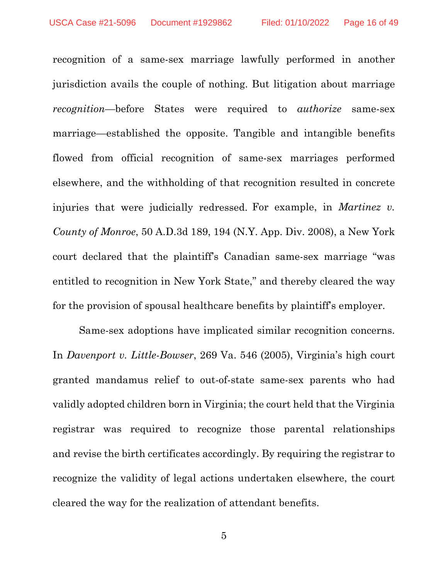recognition of a same-sex marriage lawfully performed in another jurisdiction avails the couple of nothing. But litigation about marriage *recognition*—before States were required to *authorize* same-sex marriage—established the opposite. Tangible and intangible benefits flowed from official recognition of same-sex marriages performed elsewhere, and the withholding of that recognition resulted in concrete injuries that were judicially redressed. For example, in *Martinez v. County of Monroe*, 50 A.D.3d 189, 194 (N.Y. App. Div. 2008), a New York court declared that the plaintiff's Canadian same-sex marriage "was entitled to recognition in New York State," and thereby cleared the way for the provision of spousal healthcare benefits by plaintiff's employer.

Same-sex adoptions have implicated similar recognition concerns. In *Davenport v. Little-Bowser*, 269 Va. 546 (2005), Virginia's high court granted mandamus relief to out-of-state same-sex parents who had validly adopted children born in Virginia; the court held that the Virginia registrar was required to recognize those parental relationships and revise the birth certificates accordingly. By requiring the registrar to recognize the validity of legal actions undertaken elsewhere, the court cleared the way for the realization of attendant benefits.

5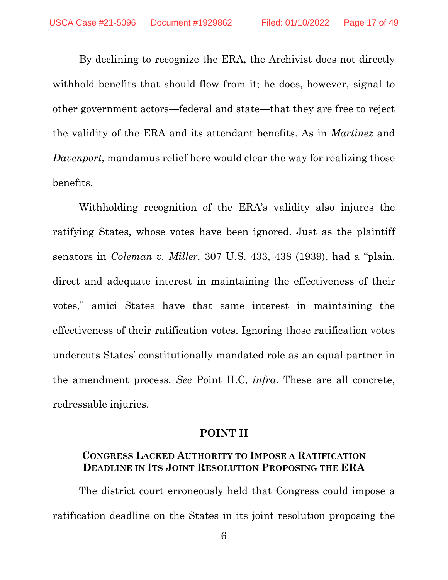By declining to recognize the ERA, the Archivist does not directly withhold benefits that should flow from it; he does, however, signal to other government actors—federal and state—that they are free to reject the validity of the ERA and its attendant benefits. As in *Martinez* and *Davenport*, mandamus relief here would clear the way for realizing those benefits.

Withholding recognition of the ERA's validity also injures the ratifying States, whose votes have been ignored. Just as the plaintiff senators in *Coleman v. Miller,* 307 U.S. 433, 438 (1939), had a "plain, direct and adequate interest in maintaining the effectiveness of their votes," amici States have that same interest in maintaining the effectiveness of their ratification votes. Ignoring those ratification votes undercuts States' constitutionally mandated role as an equal partner in the amendment process. *See* Point II.C, *infra.* These are all concrete, redressable injuries.

#### **POINT II**

#### **CONGRESS LACKED AUTHORITY TO IMPOSE A RATIFICATION DEADLINE IN ITS JOINT RESOLUTION PROPOSING THE ERA**

The district court erroneously held that Congress could impose a ratification deadline on the States in its joint resolution proposing the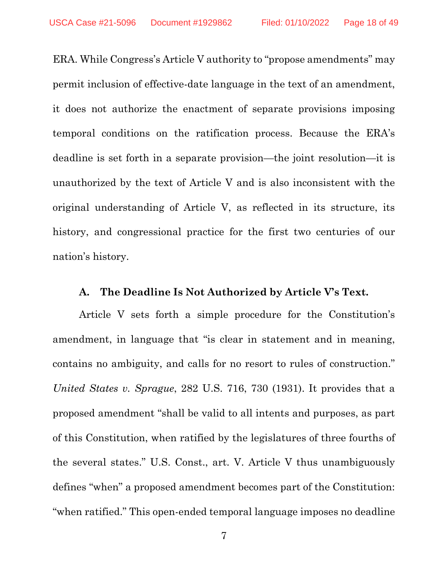ERA. While Congress's Article V authority to "propose amendments" may permit inclusion of effective-date language in the text of an amendment, it does not authorize the enactment of separate provisions imposing temporal conditions on the ratification process. Because the ERA's deadline is set forth in a separate provision—the joint resolution—it is unauthorized by the text of Article V and is also inconsistent with the original understanding of Article V, as reflected in its structure, its history, and congressional practice for the first two centuries of our nation's history.

#### **A. The Deadline Is Not Authorized by Article V's Text.**

Article V sets forth a simple procedure for the Constitution's amendment, in language that "is clear in statement and in meaning, contains no ambiguity, and calls for no resort to rules of construction." *United States v. Sprague*, 282 U.S. 716, 730 (1931). It provides that a proposed amendment "shall be valid to all intents and purposes, as part of this Constitution, when ratified by the legislatures of three fourths of the several states." U.S. Const., art. V. Article V thus unambiguously defines "when" a proposed amendment becomes part of the Constitution: "when ratified." This open-ended temporal language imposes no deadline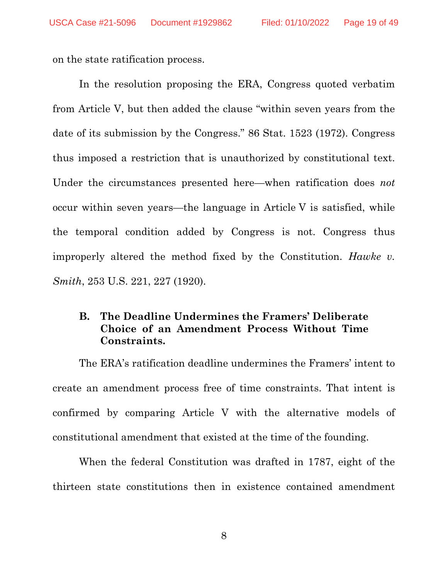on the state ratification process.

In the resolution proposing the ERA, Congress quoted verbatim from Article V, but then added the clause "within seven years from the date of its submission by the Congress." 86 Stat. 1523 (1972). Congress thus imposed a restriction that is unauthorized by constitutional text. Under the circumstances presented here—when ratification does *not* occur within seven years—the language in Article V is satisfied, while the temporal condition added by Congress is not. Congress thus improperly altered the method fixed by the Constitution. *Hawke v. Smith*, 253 U.S. 221, 227 (1920).

#### **B. The Deadline Undermines the Framers' Deliberate Choice of an Amendment Process Without Time Constraints.**

The ERA's ratification deadline undermines the Framers' intent to create an amendment process free of time constraints. That intent is confirmed by comparing Article V with the alternative models of constitutional amendment that existed at the time of the founding.

When the federal Constitution was drafted in 1787, eight of the thirteen state constitutions then in existence contained amendment

8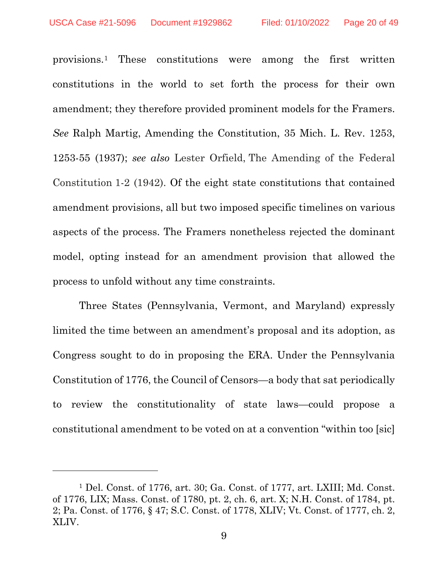provisions[.1](#page-19-0) These constitutions were among the first written constitutions in the world to set forth the process for their own amendment; they therefore provided prominent models for the Framers. *See* Ralph Martig, Amending the Constitution, 35 Mich. L. Rev. 1253, 1253-55 (1937); *see also* Lester Orfield, The Amending of the Federal Constitution 1-2 (1942). Of the eight state constitutions that contained amendment provisions, all but two imposed specific timelines on various aspects of the process. The Framers nonetheless rejected the dominant model, opting instead for an amendment provision that allowed the process to unfold without any time constraints.

Three States (Pennsylvania, Vermont, and Maryland) expressly limited the time between an amendment's proposal and its adoption, as Congress sought to do in proposing the ERA. Under the Pennsylvania Constitution of 1776, the Council of Censors—a body that sat periodically to review the constitutionality of state laws—could propose a constitutional amendment to be voted on at a convention "within too [sic]

<span id="page-19-0"></span><sup>1</sup> Del. Const. of 1776, art. 30; Ga. Const. of 1777, art. LXIII; Md. Const. of 1776, LIX; Mass. Const. of 1780, pt. 2, ch. 6, art. X; N.H. Const. of 1784, pt. 2; Pa. Const. of 1776, § 47; S.C. Const. of 1778, XLIV; Vt. Const. of 1777, ch. 2, XLIV.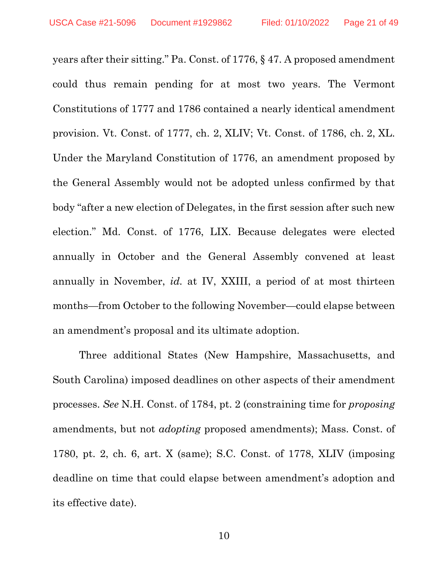years after their sitting." Pa. Const. of 1776, § 47. A proposed amendment could thus remain pending for at most two years. The Vermont Constitutions of 1777 and 1786 contained a nearly identical amendment provision. Vt. Const. of 1777, ch. 2, XLIV; Vt. Const. of 1786, ch. 2, XL. Under the Maryland Constitution of 1776, an amendment proposed by the General Assembly would not be adopted unless confirmed by that body "after a new election of Delegates, in the first session after such new election." Md. Const. of 1776, LIX. Because delegates were elected annually in October and the General Assembly convened at least annually in November, *id.* at IV, XXIII, a period of at most thirteen months—from October to the following November—could elapse between an amendment's proposal and its ultimate adoption.

Three additional States (New Hampshire, Massachusetts, and South Carolina) imposed deadlines on other aspects of their amendment processes. *See* N.H. Const. of 1784, pt. 2 (constraining time for *proposing* amendments, but not *adopting* proposed amendments); Mass. Const. of 1780, pt. 2, ch. 6, art. X (same); S.C. Const. of 1778, XLIV (imposing deadline on time that could elapse between amendment's adoption and its effective date).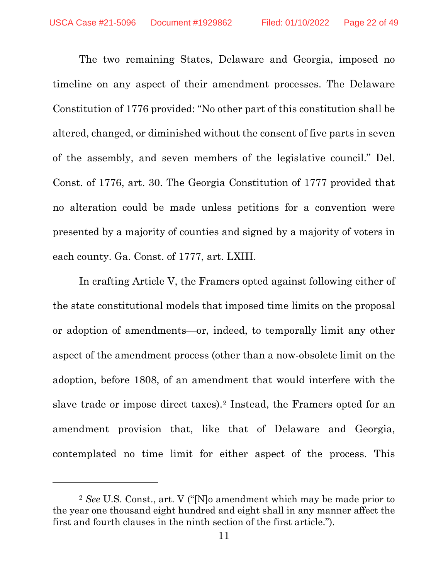The two remaining States, Delaware and Georgia, imposed no timeline on any aspect of their amendment processes. The Delaware Constitution of 1776 provided: "No other part of this constitution shall be altered, changed, or diminished without the consent of five parts in seven of the assembly, and seven members of the legislative council." Del. Const. of 1776, art. 30. The Georgia Constitution of 1777 provided that no alteration could be made unless petitions for a convention were presented by a majority of counties and signed by a majority of voters in each county. Ga. Const. of 1777, art. LXIII.

In crafting Article V, the Framers opted against following either of the state constitutional models that imposed time limits on the proposal or adoption of amendments—or, indeed, to temporally limit any other aspect of the amendment process (other than a now-obsolete limit on the adoption, before 1808, of an amendment that would interfere with the slave trade or impose direct taxes).[2](#page-21-0) Instead, the Framers opted for an amendment provision that, like that of Delaware and Georgia, contemplated no time limit for either aspect of the process. This

<span id="page-21-0"></span><sup>2</sup> *See* U.S. Const., art. V ("[N]o amendment which may be made prior to the year one thousand eight hundred and eight shall in any manner affect the first and fourth clauses in the ninth section of the first article.").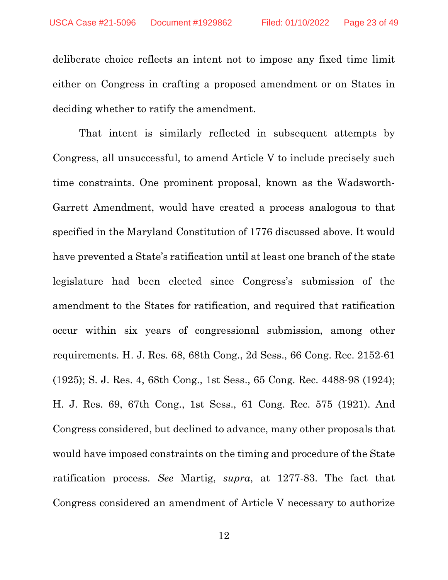deliberate choice reflects an intent not to impose any fixed time limit either on Congress in crafting a proposed amendment or on States in deciding whether to ratify the amendment.

That intent is similarly reflected in subsequent attempts by Congress, all unsuccessful, to amend Article V to include precisely such time constraints. One prominent proposal, known as the Wadsworth-Garrett Amendment, would have created a process analogous to that specified in the Maryland Constitution of 1776 discussed above. It would have prevented a State's ratification until at least one branch of the state legislature had been elected since Congress's submission of the amendment to the States for ratification, and required that ratification occur within six years of congressional submission, among other requirements. H. J. Res. 68, 68th Cong., 2d Sess., 66 Cong. Rec. 2152-61 (1925); S. J. Res. 4, 68th Cong., 1st Sess., 65 Cong. Rec. 4488-98 (1924); H. J. Res. 69, 67th Cong., 1st Sess., 61 Cong. Rec. 575 (1921). And Congress considered, but declined to advance, many other proposals that would have imposed constraints on the timing and procedure of the State ratification process. *See* Martig, *supra*, at 1277-83. The fact that Congress considered an amendment of Article V necessary to authorize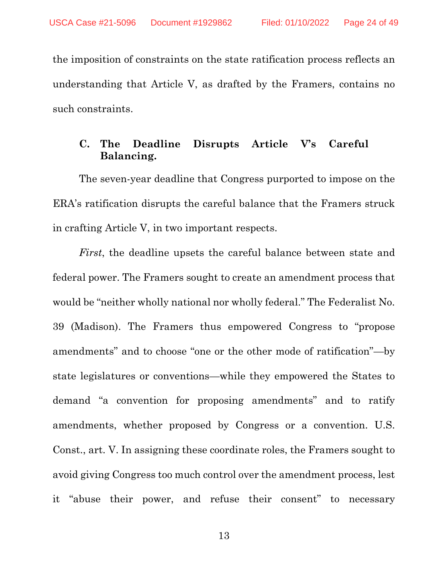the imposition of constraints on the state ratification process reflects an understanding that Article V, as drafted by the Framers, contains no such constraints.

#### **C. The Deadline Disrupts Article V's Careful Balancing.**

The seven-year deadline that Congress purported to impose on the ERA's ratification disrupts the careful balance that the Framers struck in crafting Article V, in two important respects.

*First*, the deadline upsets the careful balance between state and federal power. The Framers sought to create an amendment process that would be "neither wholly national nor wholly federal." The Federalist No. 39 (Madison). The Framers thus empowered Congress to "propose amendments" and to choose "one or the other mode of ratification"—by state legislatures or conventions—while they empowered the States to demand "a convention for proposing amendments" and to ratify amendments, whether proposed by Congress or a convention. U.S. Const., art. V. In assigning these coordinate roles, the Framers sought to avoid giving Congress too much control over the amendment process, lest it "abuse their power, and refuse their consent" to necessary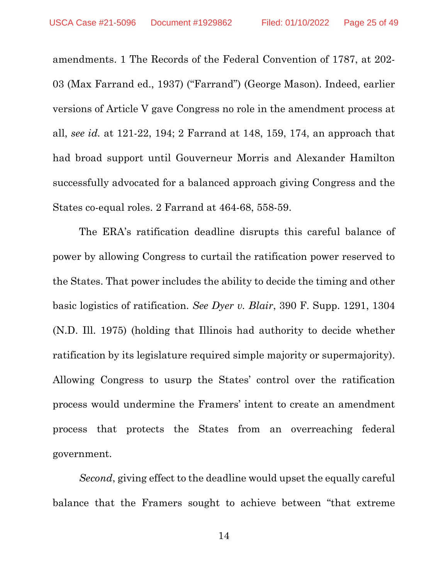amendments. 1 The Records of the Federal Convention of 1787, at 202- 03 (Max Farrand ed., 1937) ("Farrand") (George Mason). Indeed, earlier versions of Article V gave Congress no role in the amendment process at all, *see id.* at 121-22, 194; 2 Farrand at 148, 159, 174, an approach that had broad support until Gouverneur Morris and Alexander Hamilton successfully advocated for a balanced approach giving Congress and the States co-equal roles. 2 Farrand at 464-68, 558-59.

The ERA's ratification deadline disrupts this careful balance of power by allowing Congress to curtail the ratification power reserved to the States. That power includes the ability to decide the timing and other basic logistics of ratification. *See Dyer v. Blair*, 390 F. Supp. 1291, 1304 (N.D. Ill. 1975) (holding that Illinois had authority to decide whether ratification by its legislature required simple majority or supermajority). Allowing Congress to usurp the States' control over the ratification process would undermine the Framers' intent to create an amendment process that protects the States from an overreaching federal government.

*Second*, giving effect to the deadline would upset the equally careful balance that the Framers sought to achieve between "that extreme

14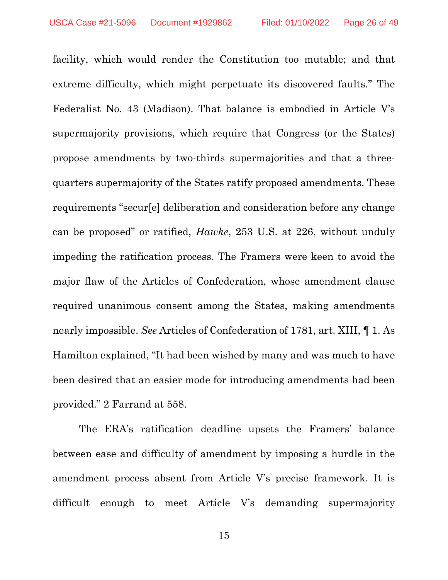facility, which would render the Constitution too mutable; and that extreme difficulty, which might perpetuate its discovered faults." The Federalist No. 43 (Madison). That balance is embodied in Article V's supermajority provisions, which require that Congress (or the States) propose amendments by two-thirds supermajorities and that a threequarters supermajority of the States ratify proposed amendments. These requirements "secur[e] deliberation and consideration before any change can be proposed" or ratified, *Hawke*, 253 U.S. at 226, without unduly impeding the ratification process. The Framers were keen to avoid the major flaw of the Articles of Confederation, whose amendment clause required unanimous consent among the States, making amendments nearly impossible. *See* Articles of Confederation of 1781, art. XIII, ¶ 1. As Hamilton explained, "It had been wished by many and was much to have been desired that an easier mode for introducing amendments had been provided." 2 Farrand at 558.

The ERA's ratification deadline upsets the Framers' balance between ease and difficulty of amendment by imposing a hurdle in the amendment process absent from Article V's precise framework. It is difficult enough to meet Article V's demanding supermajority

15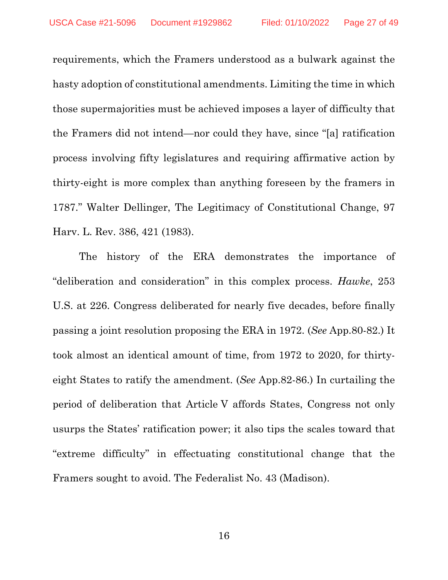requirements, which the Framers understood as a bulwark against the hasty adoption of constitutional amendments. Limiting the time in which those supermajorities must be achieved imposes a layer of difficulty that the Framers did not intend—nor could they have, since "[a] ratification process involving fifty legislatures and requiring affirmative action by thirty-eight is more complex than anything foreseen by the framers in 1787." Walter Dellinger, The Legitimacy of Constitutional Change, 97 Harv. L. Rev. 386, 421 (1983).

The history of the ERA demonstrates the importance of "deliberation and consideration" in this complex process. *Hawke*, 253 U.S. at 226. Congress deliberated for nearly five decades, before finally passing a joint resolution proposing the ERA in 1972. (*See* App.80-82.) It took almost an identical amount of time, from 1972 to 2020, for thirtyeight States to ratify the amendment. (*See* App.82-86.) In curtailing the period of deliberation that Article V affords States, Congress not only usurps the States' ratification power; it also tips the scales toward that "extreme difficulty" in effectuating constitutional change that the Framers sought to avoid. The Federalist No. 43 (Madison).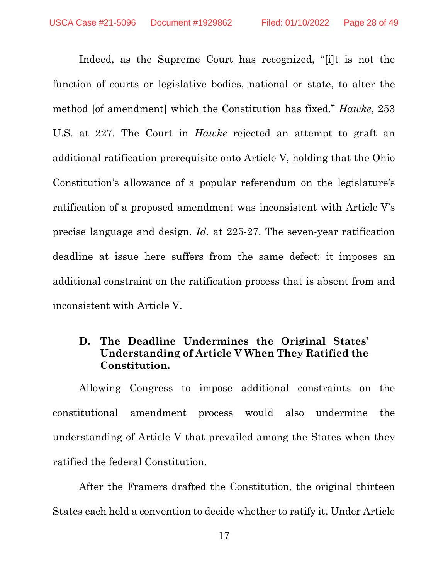Indeed, as the Supreme Court has recognized, "[i]t is not the function of courts or legislative bodies, national or state, to alter the method [of amendment] which the Constitution has fixed." *Hawke*, 253 U.S. at 227. The Court in *Hawke* rejected an attempt to graft an additional ratification prerequisite onto Article V, holding that the Ohio Constitution's allowance of a popular referendum on the legislature's ratification of a proposed amendment was inconsistent with Article V's precise language and design. *Id.* at 225-27. The seven-year ratification deadline at issue here suffers from the same defect: it imposes an additional constraint on the ratification process that is absent from and inconsistent with Article V.

### **D. The Deadline Undermines the Original States' Understanding of Article V When They Ratified the Constitution.**

Allowing Congress to impose additional constraints on the constitutional amendment process would also undermine the understanding of Article V that prevailed among the States when they ratified the federal Constitution.

After the Framers drafted the Constitution, the original thirteen States each held a convention to decide whether to ratify it. Under Article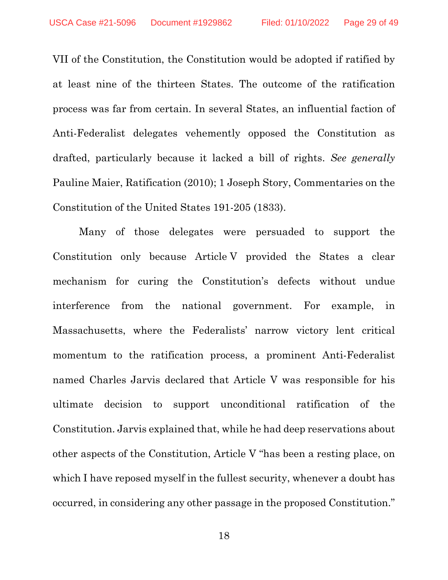VII of the Constitution, the Constitution would be adopted if ratified by at least nine of the thirteen States. The outcome of the ratification process was far from certain. In several States, an influential faction of Anti-Federalist delegates vehemently opposed the Constitution as drafted, particularly because it lacked a bill of rights. *See generally*  Pauline Maier, Ratification (2010); 1 Joseph Story, Commentaries on the Constitution of the United States 191-205 (1833).

Many of those delegates were persuaded to support the Constitution only because Article V provided the States a clear mechanism for curing the Constitution's defects without undue interference from the national government. For example, in Massachusetts, where the Federalists' narrow victory lent critical momentum to the ratification process, a prominent Anti-Federalist named Charles Jarvis declared that Article V was responsible for his ultimate decision to support unconditional ratification of the Constitution. Jarvis explained that, while he had deep reservations about other aspects of the Constitution, Article V "has been a resting place, on which I have reposed myself in the fullest security, whenever a doubt has occurred, in considering any other passage in the proposed Constitution."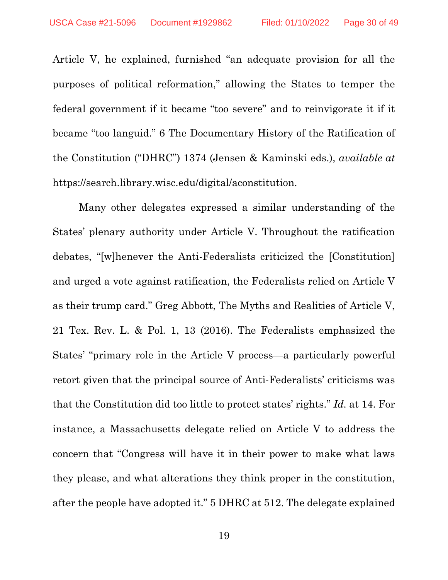Article V, he explained, furnished "an adequate provision for all the purposes of political reformation," allowing the States to temper the federal government if it became "too severe" and to reinvigorate it if it became "too languid." 6 The Documentary History of the Ratification of the Constitution ("DHRC") 1374 (Jensen & Kaminski eds.), *available at* https://search.library.wisc.edu/digital/aconstitution.

Many other delegates expressed a similar understanding of the States' plenary authority under Article V. Throughout the ratification debates, "[w]henever the Anti-Federalists criticized the [Constitution] and urged a vote against ratification, the Federalists relied on Article V as their trump card." Greg Abbott, The Myths and Realities of Article V, 21 Tex. Rev. L. & Pol. 1, 13 (2016). The Federalists emphasized the States' "primary role in the Article V process—a particularly powerful retort given that the principal source of Anti-Federalists' criticisms was that the Constitution did too little to protect states' rights." *Id.* at 14. For instance, a Massachusetts delegate relied on Article V to address the concern that "Congress will have it in their power to make what laws they please, and what alterations they think proper in the constitution, after the people have adopted it." 5 DHRC at 512. The delegate explained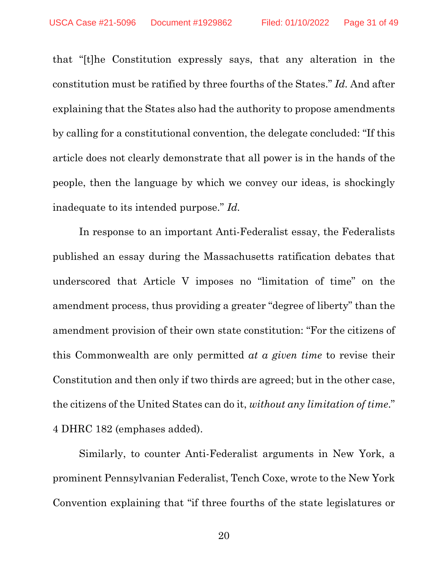that "[t]he Constitution expressly says, that any alteration in the constitution must be ratified by three fourths of the States." *Id.* And after explaining that the States also had the authority to propose amendments by calling for a constitutional convention, the delegate concluded: "If this article does not clearly demonstrate that all power is in the hands of the people, then the language by which we convey our ideas, is shockingly inadequate to its intended purpose." *Id.*

In response to an important Anti-Federalist essay, the Federalists published an essay during the Massachusetts ratification debates that underscored that Article V imposes no "limitation of time" on the amendment process, thus providing a greater "degree of liberty" than the amendment provision of their own state constitution: "For the citizens of this Commonwealth are only permitted *at a given time* to revise their Constitution and then only if two thirds are agreed; but in the other case, the citizens of the United States can do it, *without any limitation of time*." 4 DHRC 182 (emphases added).

Similarly, to counter Anti-Federalist arguments in New York, a prominent Pennsylvanian Federalist, Tench Coxe, wrote to the New York Convention explaining that "if three fourths of the state legislatures or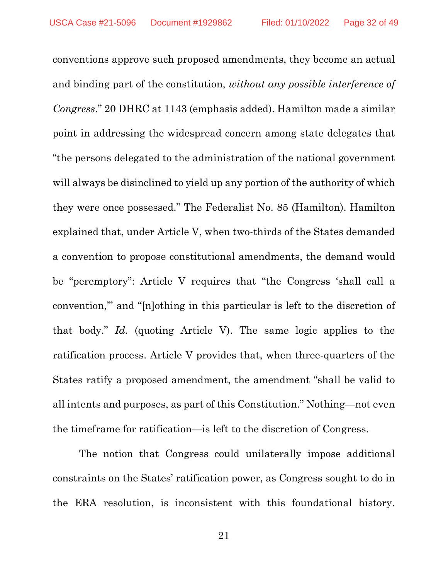conventions approve such proposed amendments, they become an actual and binding part of the constitution, *without any possible interference of Congress*." 20 DHRC at 1143 (emphasis added). Hamilton made a similar point in addressing the widespread concern among state delegates that "the persons delegated to the administration of the national government will always be disinclined to yield up any portion of the authority of which they were once possessed." The Federalist No. 85 (Hamilton). Hamilton explained that, under Article V, when two-thirds of the States demanded a convention to propose constitutional amendments, the demand would be "peremptory": Article V requires that "the Congress 'shall call a convention,'" and "[n]othing in this particular is left to the discretion of that body." *Id.* (quoting Article V). The same logic applies to the ratification process. Article V provides that, when three-quarters of the States ratify a proposed amendment, the amendment "shall be valid to all intents and purposes, as part of this Constitution." Nothing—not even the timeframe for ratification—is left to the discretion of Congress.

The notion that Congress could unilaterally impose additional constraints on the States' ratification power, as Congress sought to do in the ERA resolution, is inconsistent with this foundational history.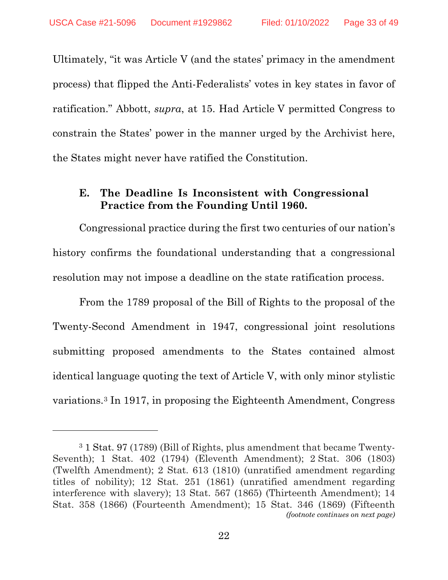Ultimately, "it was Article V (and the states' primacy in the amendment process) that flipped the Anti-Federalists' votes in key states in favor of ratification." Abbott, *supra*, at 15. Had Article V permitted Congress to constrain the States' power in the manner urged by the Archivist here, the States might never have ratified the Constitution.

### **E. The Deadline Is Inconsistent with Congressional Practice from the Founding Until 1960.**

Congressional practice during the first two centuries of our nation's history confirms the foundational understanding that a congressional resolution may not impose a deadline on the state ratification process.

From the 1789 proposal of the Bill of Rights to the proposal of the Twenty-Second Amendment in 1947, congressional joint resolutions submitting proposed amendments to the States contained almost identical language quoting the text of Article V, with only minor stylistic variations.[3](#page-32-0) In 1917, in proposing the Eighteenth Amendment, Congress

<span id="page-32-0"></span><sup>3</sup> 1 Stat. 97 (1789) (Bill of Rights, plus amendment that became Twenty-Seventh); 1 Stat. 402 (1794) (Eleventh Amendment); 2 Stat. 306 (1803) (Twelfth Amendment); 2 Stat. 613 (1810) (unratified amendment regarding titles of nobility); 12 Stat. 251 (1861) (unratified amendment regarding interference with slavery); 13 Stat. 567 (1865) (Thirteenth Amendment); 14 Stat. 358 (1866) (Fourteenth Amendment); 15 Stat. 346 (1869) (Fifteenth *(footnote continues on next page)*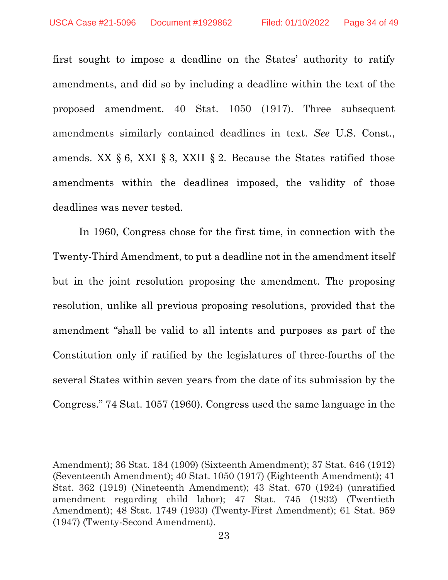first sought to impose a deadline on the States' authority to ratify amendments, and did so by including a deadline within the text of the proposed amendment. 40 Stat. 1050 (1917). Three subsequent amendments similarly contained deadlines in text. *See* U.S. Const., amends. XX  $\S 6$ , XXI  $\S 3$ , XXII  $\S 2$ . Because the States ratified those amendments within the deadlines imposed, the validity of those deadlines was never tested.

In 1960, Congress chose for the first time, in connection with the Twenty-Third Amendment, to put a deadline not in the amendment itself but in the joint resolution proposing the amendment. The proposing resolution, unlike all previous proposing resolutions, provided that the amendment "shall be valid to all intents and purposes as part of the Constitution only if ratified by the legislatures of three-fourths of the several States within seven years from the date of its submission by the Congress." 74 Stat. 1057 (1960). Congress used the same language in the

Amendment); 36 Stat. 184 (1909) (Sixteenth Amendment); 37 Stat. 646 (1912) (Seventeenth Amendment); 40 Stat. 1050 (1917) (Eighteenth Amendment); 41 Stat. 362 (1919) (Nineteenth Amendment); 43 Stat. 670 (1924) (unratified amendment regarding child labor); 47 Stat. 745 (1932) (Twentieth Amendment); 48 Stat. 1749 (1933) (Twenty-First Amendment); 61 Stat. 959 (1947) (Twenty-Second Amendment).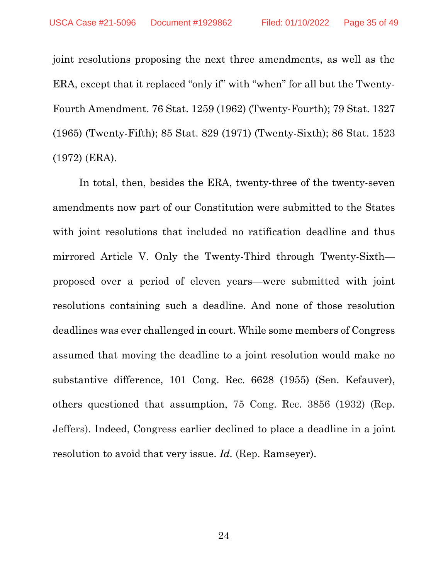joint resolutions proposing the next three amendments, as well as the ERA, except that it replaced "only if" with "when" for all but the Twenty-Fourth Amendment. 76 Stat. 1259 (1962) (Twenty-Fourth); 79 Stat. 1327 (1965) (Twenty-Fifth); 85 Stat. 829 (1971) (Twenty-Sixth); 86 Stat. 1523 (1972) (ERA).

In total, then, besides the ERA, twenty-three of the twenty-seven amendments now part of our Constitution were submitted to the States with joint resolutions that included no ratification deadline and thus mirrored Article V. Only the Twenty-Third through Twenty-Sixth proposed over a period of eleven years—were submitted with joint resolutions containing such a deadline. And none of those resolution deadlines was ever challenged in court. While some members of Congress assumed that moving the deadline to a joint resolution would make no substantive difference, 101 Cong. Rec. 6628 (1955) (Sen. Kefauver), others questioned that assumption, 75 Cong. Rec. 3856 (1932) (Rep. Jeffers). Indeed, Congress earlier declined to place a deadline in a joint resolution to avoid that very issue. *Id.* (Rep. Ramseyer).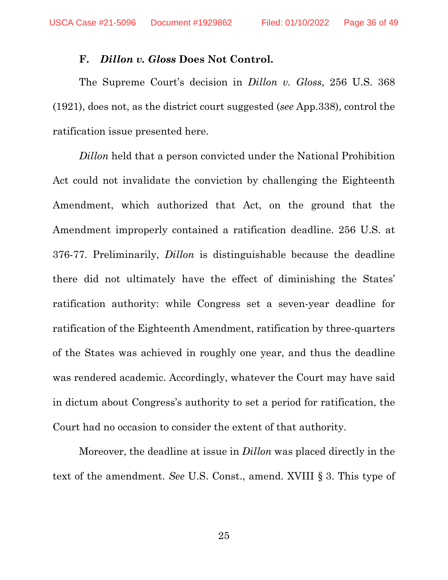#### **F.** *Dillon v. Gloss* **Does Not Control.**

The Supreme Court's decision in *Dillon v. Gloss*, 256 U.S. 368 (1921), does not, as the district court suggested (*see* App.338), control the ratification issue presented here.

*Dillon* held that a person convicted under the National Prohibition Act could not invalidate the conviction by challenging the Eighteenth Amendment, which authorized that Act, on the ground that the Amendment improperly contained a ratification deadline. 256 U.S. at 376-77. Preliminarily, *Dillon* is distinguishable because the deadline there did not ultimately have the effect of diminishing the States' ratification authority: while Congress set a seven-year deadline for ratification of the Eighteenth Amendment, ratification by three-quarters of the States was achieved in roughly one year, and thus the deadline was rendered academic. Accordingly, whatever the Court may have said in dictum about Congress's authority to set a period for ratification, the Court had no occasion to consider the extent of that authority.

Moreover, the deadline at issue in *Dillon* was placed directly in the text of the amendment. *See* U.S. Const., amend. XVIII § 3. This type of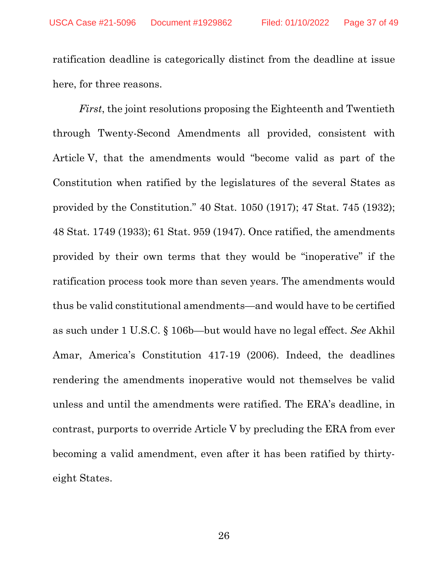ratification deadline is categorically distinct from the deadline at issue here, for three reasons.

*First*, the joint resolutions proposing the Eighteenth and Twentieth through Twenty-Second Amendments all provided, consistent with Article V, that the amendments would "become valid as part of the Constitution when ratified by the legislatures of the several States as provided by the Constitution." 40 Stat. 1050 (1917); 47 Stat. 745 (1932); 48 Stat. 1749 (1933); 61 Stat. 959 (1947). Once ratified, the amendments provided by their own terms that they would be "inoperative" if the ratification process took more than seven years. The amendments would thus be valid constitutional amendments—and would have to be certified as such under 1 U.S.C. § 106b—but would have no legal effect. *See* Akhil Amar, America's Constitution 417-19 (2006). Indeed, the deadlines rendering the amendments inoperative would not themselves be valid unless and until the amendments were ratified. The ERA's deadline, in contrast, purports to override Article V by precluding the ERA from ever becoming a valid amendment, even after it has been ratified by thirtyeight States.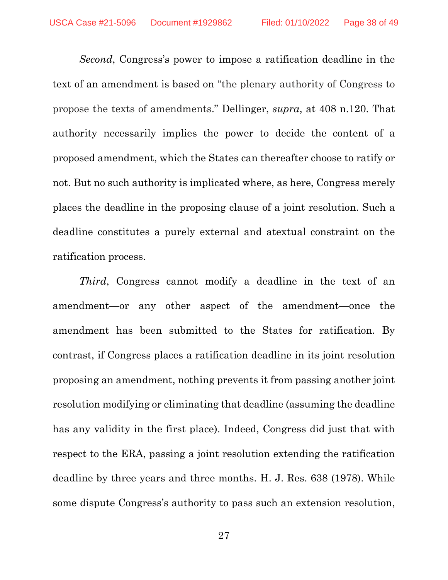*Second*, Congress's power to impose a ratification deadline in the text of an amendment is based on "the plenary authority of Congress to propose the texts of amendments." Dellinger, *supra*, at 408 n.120. That authority necessarily implies the power to decide the content of a proposed amendment, which the States can thereafter choose to ratify or not. But no such authority is implicated where, as here, Congress merely places the deadline in the proposing clause of a joint resolution. Such a deadline constitutes a purely external and atextual constraint on the ratification process.

*Third*, Congress cannot modify a deadline in the text of an amendment—or any other aspect of the amendment—once the amendment has been submitted to the States for ratification. By contrast, if Congress places a ratification deadline in its joint resolution proposing an amendment, nothing prevents it from passing another joint resolution modifying or eliminating that deadline (assuming the deadline has any validity in the first place). Indeed, Congress did just that with respect to the ERA, passing a joint resolution extending the ratification deadline by three years and three months. H. J. Res. 638 (1978). While some dispute Congress's authority to pass such an extension resolution,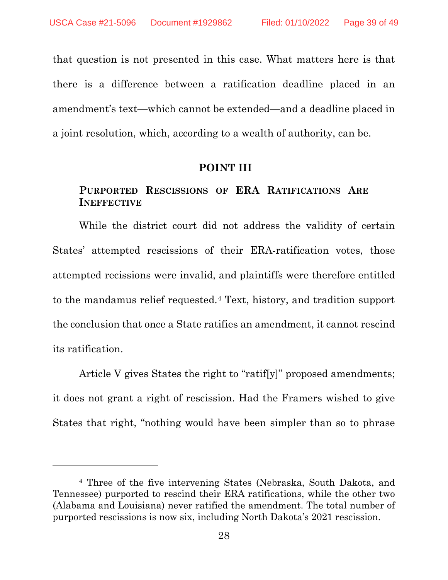that question is not presented in this case. What matters here is that there is a difference between a ratification deadline placed in an amendment's text—which cannot be extended—and a deadline placed in a joint resolution, which, according to a wealth of authority, can be.

#### **POINT III**

#### **PURPORTED RESCISSIONS OF ERA RATIFICATIONS ARE INEFFECTIVE**

While the district court did not address the validity of certain States' attempted rescissions of their ERA-ratification votes, those attempted recissions were invalid, and plaintiffs were therefore entitled to the mandamus relief requested.[4](#page-38-0) Text, history, and tradition support the conclusion that once a State ratifies an amendment, it cannot rescind its ratification.

Article V gives States the right to "ratif[y]" proposed amendments; it does not grant a right of rescission. Had the Framers wished to give States that right, "nothing would have been simpler than so to phrase

<span id="page-38-0"></span><sup>4</sup> Three of the five intervening States (Nebraska, South Dakota, and Tennessee) purported to rescind their ERA ratifications, while the other two (Alabama and Louisiana) never ratified the amendment. The total number of purported rescissions is now six, including North Dakota's 2021 rescission.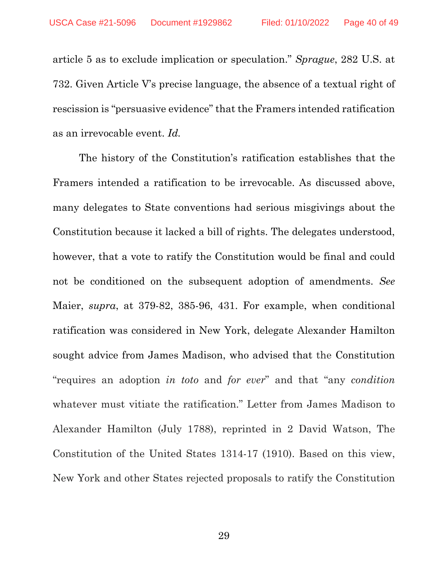article 5 as to exclude implication or speculation." *Sprague*, 282 U.S. at 732. Given Article V's precise language, the absence of a textual right of rescission is "persuasive evidence" that the Framers intended ratification as an irrevocable event. *Id.*

The history of the Constitution's ratification establishes that the Framers intended a ratification to be irrevocable. As discussed above, many delegates to State conventions had serious misgivings about the Constitution because it lacked a bill of rights. The delegates understood, however, that a vote to ratify the Constitution would be final and could not be conditioned on the subsequent adoption of amendments. *See* Maier, *supra*, at 379-82, 385-96, 431. For example, when conditional ratification was considered in New York, delegate Alexander Hamilton sought advice from James Madison, who advised that the Constitution "requires an adoption *in toto* and *for ever*" and that "any *condition* whatever must vitiate the ratification." Letter from James Madison to Alexander Hamilton (July 1788), reprinted in 2 David Watson, The Constitution of the United States 1314-17 (1910). Based on this view, New York and other States rejected proposals to ratify the Constitution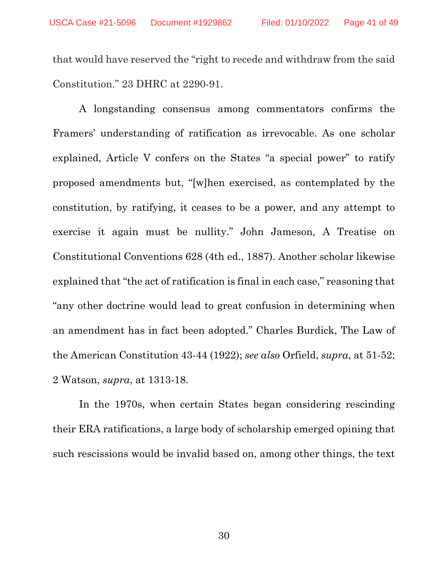that would have reserved the "right to recede and withdraw from the said Constitution." 23 DHRC at 2290-91.

A longstanding consensus among commentators confirms the Framers' understanding of ratification as irrevocable. As one scholar explained, Article V confers on the States "a special power" to ratify proposed amendments but, "[w]hen exercised, as contemplated by the constitution, by ratifying, it ceases to be a power, and any attempt to exercise it again must be nullity." John Jameson, A Treatise on Constitutional Conventions 628 (4th ed., 1887). Another scholar likewise explained that "the act of ratification is final in each case," reasoning that "any other doctrine would lead to great confusion in determining when an amendment has in fact been adopted." Charles Burdick, The Law of the American Constitution 43-44 (1922); *see also* Orfield, *supra*, at 51-52; 2 Watson, *supra*, at 1313-18.

In the 1970s, when certain States began considering rescinding their ERA ratifications, a large body of scholarship emerged opining that such rescissions would be invalid based on, among other things, the text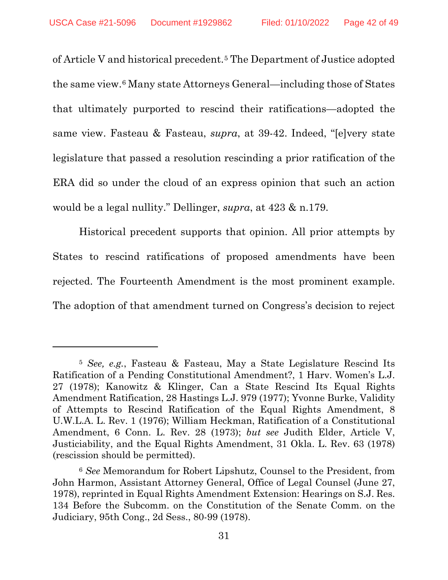of Article V and historical precedent.[5](#page-41-0) The Department of Justice adopted the same view.[6](#page-41-1) Many state Attorneys General—including those of States that ultimately purported to rescind their ratifications—adopted the same view. Fasteau & Fasteau, *supra*, at 39-42. Indeed, "[e]very state legislature that passed a resolution rescinding a prior ratification of the ERA did so under the cloud of an express opinion that such an action would be a legal nullity." Dellinger, *supra*, at 423 & n.179.

Historical precedent supports that opinion. All prior attempts by States to rescind ratifications of proposed amendments have been rejected. The Fourteenth Amendment is the most prominent example. The adoption of that amendment turned on Congress's decision to reject

<span id="page-41-0"></span><sup>5</sup> *See, e.g.*, Fasteau & Fasteau, May a State Legislature Rescind Its Ratification of a Pending Constitutional Amendment?, 1 Harv. Women's L.J. 27 (1978); Kanowitz & Klinger, Can a State Rescind Its Equal Rights Amendment Ratification, 28 Hastings L.J. 979 (1977); Yvonne Burke, Validity of Attempts to Rescind Ratification of the Equal Rights Amendment, 8 U.W.L.A. L. Rev. 1 (1976); William Heckman, Ratification of a Constitutional Amendment, 6 Conn. L. Rev. 28 (1973); *but see* Judith Elder, Article V, Justiciability, and the Equal Rights Amendment, 31 Okla. L. Rev. 63 (1978) (rescission should be permitted).

<span id="page-41-1"></span><sup>6</sup> *See* Memorandum for Robert Lipshutz, Counsel to the President, from John Harmon, Assistant Attorney General, Office of Legal Counsel (June 27, 1978), reprinted in Equal Rights Amendment Extension: Hearings on S.J. Res. 134 Before the Subcomm. on the Constitution of the Senate Comm. on the Judiciary, 95th Cong., 2d Sess., 80-99 (1978).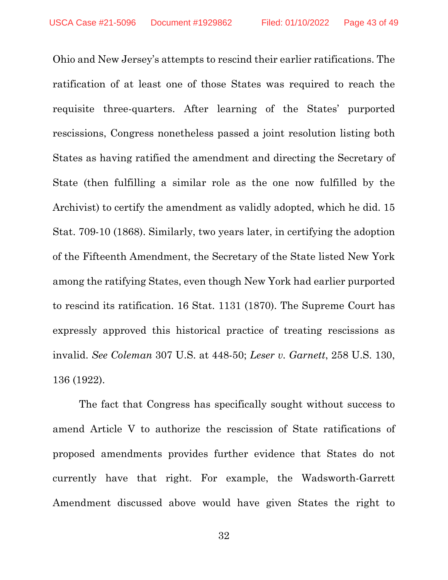Ohio and New Jersey's attempts to rescind their earlier ratifications. The ratification of at least one of those States was required to reach the requisite three-quarters. After learning of the States' purported rescissions, Congress nonetheless passed a joint resolution listing both States as having ratified the amendment and directing the Secretary of State (then fulfilling a similar role as the one now fulfilled by the Archivist) to certify the amendment as validly adopted, which he did. 15 Stat. 709-10 (1868). Similarly, two years later, in certifying the adoption of the Fifteenth Amendment, the Secretary of the State listed New York among the ratifying States, even though New York had earlier purported to rescind its ratification. 16 Stat. 1131 (1870). The Supreme Court has expressly approved this historical practice of treating rescissions as invalid. *See Coleman* 307 U.S. at 448-50; *Leser v. Garnett*, 258 U.S. 130, 136 (1922).

The fact that Congress has specifically sought without success to amend Article V to authorize the rescission of State ratifications of proposed amendments provides further evidence that States do not currently have that right. For example, the Wadsworth-Garrett Amendment discussed above would have given States the right to

32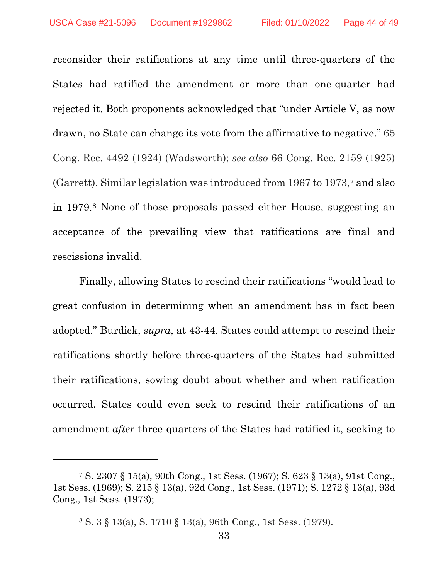reconsider their ratifications at any time until three-quarters of the States had ratified the amendment or more than one-quarter had rejected it. Both proponents acknowledged that "under Article V, as now drawn, no State can change its vote from the affirmative to negative." 65 Cong. Rec. 4492 (1924) (Wadsworth); *see also* 66 Cong. Rec. 2159 (1925) (Garrett). Similar legislation was introduced from 1967 to 1973,[7](#page-43-0) and also in 1979.[8](#page-43-1) None of those proposals passed either House, suggesting an acceptance of the prevailing view that ratifications are final and rescissions invalid.

Finally, allowing States to rescind their ratifications "would lead to great confusion in determining when an amendment has in fact been adopted." Burdick, *supra*, at 43-44. States could attempt to rescind their ratifications shortly before three-quarters of the States had submitted their ratifications, sowing doubt about whether and when ratification occurred. States could even seek to rescind their ratifications of an amendment *after* three-quarters of the States had ratified it, seeking to

<span id="page-43-1"></span><span id="page-43-0"></span><sup>7</sup> S. 2307 § 15(a), 90th Cong., 1st Sess. (1967); S. 623 § 13(a), 91st Cong., 1st Sess. (1969); S. 215 § 13(a), 92d Cong., 1st Sess. (1971); S. 1272 § 13(a), 93d Cong., 1st Sess. (1973);

<sup>8</sup> S. 3 § 13(a), S. 1710 § 13(a), 96th Cong., 1st Sess. (1979).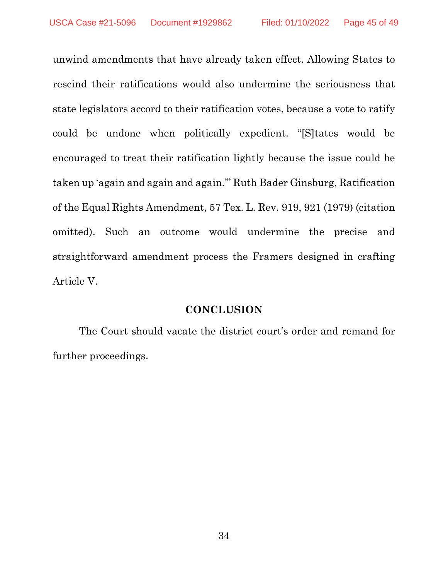unwind amendments that have already taken effect. Allowing States to rescind their ratifications would also undermine the seriousness that state legislators accord to their ratification votes, because a vote to ratify could be undone when politically expedient. "[S]tates would be encouraged to treat their ratification lightly because the issue could be taken up 'again and again and again.'" Ruth Bader Ginsburg, Ratification of the Equal Rights Amendment, 57 Tex. L. Rev. 919, 921 (1979) (citation omitted). Such an outcome would undermine the precise and straightforward amendment process the Framers designed in crafting Article V.

#### **CONCLUSION**

The Court should vacate the district court's order and remand for further proceedings.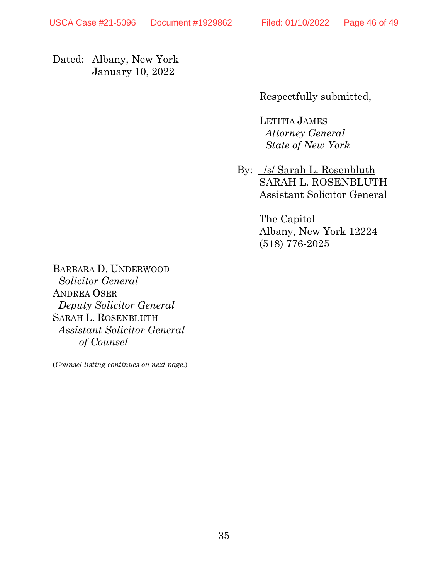Dated: Albany, New York January 10, 2022

Respectfully submitted,

LETITIA JAMES *Attorney General State of New York*

By: *Isl Sarah L. Rosenbluth* SARAH L. ROSENBLUTH Assistant Solicitor General

> The Capitol Albany, New York 12224 (518) 776-2025

BARBARA D. UNDERWOOD  *Solicitor General* ANDREA OSER *Deputy Solicitor General* SARAH L. ROSENBLUTH *Assistant Solicitor General of Counsel*

(*Counsel listing continues on next page*.)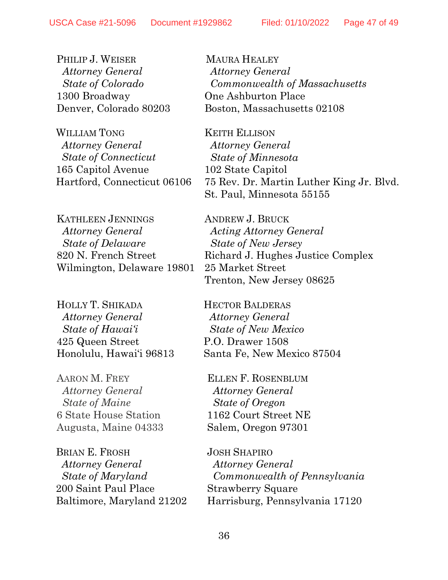PHILIP J. WEISER  *Attorney General State of Colorado* 1300 Broadway Denver, Colorado 80203

WILLIAM TONG *Attorney General State of Connecticut* 165 Capitol Avenue Hartford, Connecticut 06106

KATHLEEN JENNINGS *Attorney General State of Delaware*  820 N. French Street Wilmington, Delaware 19801

HOLLY T. SHIKADA *Attorney General State of Hawai'i* 425 Queen Street Honolulu, Hawai'i 96813

AARON M. FREY *Attorney General State of Maine* 6 State House Station Augusta, Maine 04333

BRIAN E. FROSH *Attorney General State of Maryland* 200 Saint Paul Place Baltimore, Maryland 21202

MAURA HEALEY *Attorney General Commonwealth of Massachusetts* One Ashburton Place Boston, Massachusetts 02108

KEITH ELLISON *Attorney General State of Minnesota* 102 State Capitol 75 Rev. Dr. Martin Luther King Jr. Blvd. St. Paul, Minnesota 55155

ANDREW J. BRUCK *Acting Attorney General State of New Jersey* Richard J. Hughes Justice Complex 25 Market Street Trenton, New Jersey 08625

HECTOR BALDERAS *Attorney General State of New Mexico* P.O. Drawer 1508 Santa Fe, New Mexico 87504

ELLEN F. ROSENBLUM *Attorney General State of Oregon* 1162 Court Street NE Salem, Oregon 97301

JOSH SHAPIRO  *Attorney General Commonwealth of Pennsylvania*  Strawberry Square Harrisburg, Pennsylvania 17120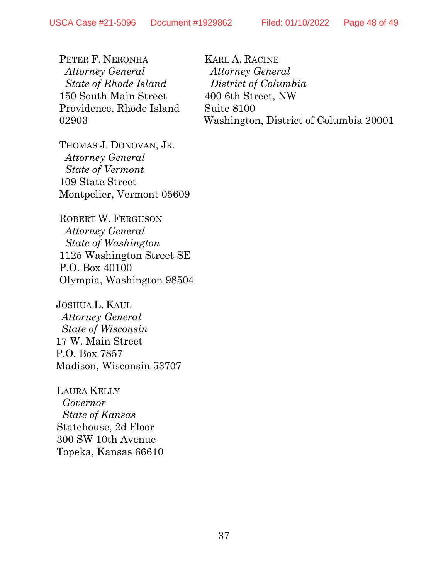PETER F. NERONHA  *Attorney General State of Rhode Island* 150 South Main Street Providence, Rhode Island 02903

KARL A. RACINE *Attorney General District of Columbia* 400 6th Street, NW Suite 8100 Washington, District of Columbia 20001

THOMAS J. DONOVAN, JR.  *Attorney General State of Vermont* 109 State Street Montpelier, Vermont 05609

ROBERT W. FERGUSON *Attorney General State of Washington* 1125 Washington Street SE P.O. Box 40100 Olympia, Washington 98504

JOSHUA L. KAUL *Attorney General State of Wisconsin* 17 W. Main Street P.O. Box 7857 Madison, Wisconsin 53707

LAURA KELLY *Governor State of Kansas* Statehouse, 2d Floor 300 SW 10th Avenue Topeka, Kansas 66610